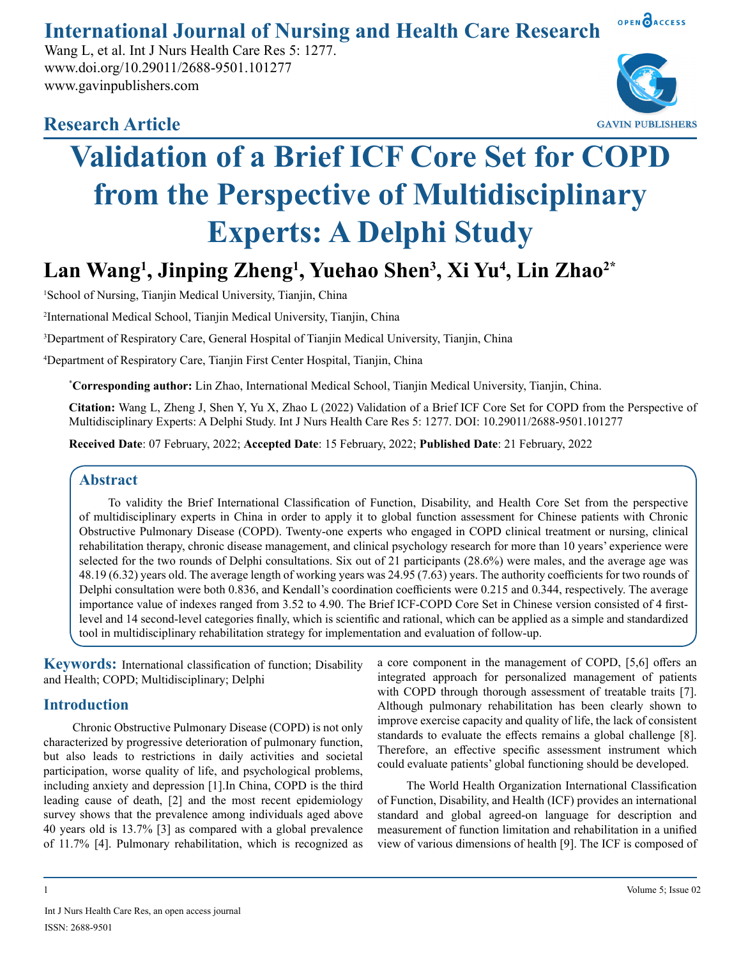**International Journal of Nursing and Health Care Research**

Wang L, et al. Int J Nurs Health Care Res 5: 1277. www.doi.org/10.29011/2688-9501.101277 www.gavinpublishers.com

# **Research Article**



OPEN OACCESS

# **Validation of a Brief ICF Core Set for COPD from the Perspective of Multidisciplinary Experts: A Delphi Study**

**Lan Wang1 , Jinping Zheng1 , Yuehao Shen3 , Xi Yu4 , Lin Zhao2\***

<sup>1</sup>School of Nursing, Tianjin Medical University, Tianjin, China

2 International Medical School, Tianjin Medical University, Tianjin, China

3 Department of Respiratory Care, General Hospital of Tianjin Medical University, Tianjin, China

4 Department of Respiratory Care, Tianjin First Center Hospital, Tianjin, China

\* **Corresponding author:** Lin Zhao, International Medical School, Tianjin Medical University, Tianjin, China.

**Citation:** Wang L, Zheng J, Shen Y, Yu X, Zhao L (2022) Validation of a Brief ICF Core Set for COPD from the Perspective of Multidisciplinary Experts: A Delphi Study. Int J Nurs Health Care Res 5: 1277. DOI: 10.29011/2688-9501.101277

**Received Date**: 07 February, 2022; **Accepted Date**: 15 February, 2022; **Published Date**: 21 February, 2022

# **Abstract**

To validity the Brief International Classification of Function, Disability, and Health Core Set from the perspective of multidisciplinary experts in China in order to apply it to global function assessment for Chinese patients with Chronic Obstructive Pulmonary Disease (COPD). Twenty-one experts who engaged in COPD clinical treatment or nursing, clinical rehabilitation therapy, chronic disease management, and clinical psychology research for more than 10 years' experience were selected for the two rounds of Delphi consultations. Six out of 21 participants (28.6%) were males, and the average age was 48.19 (6.32) years old. The average length of working years was 24.95 (7.63) years. The authority coefficients for two rounds of Delphi consultation were both 0.836, and Kendall's coordination coefficients were 0.215 and 0.344, respectively. The average importance value of indexes ranged from 3.52 to 4.90. The Brief ICF-COPD Core Set in Chinese version consisted of 4 firstlevel and 14 second-level categories finally, which is scientific and rational, which can be applied as a simple and standardized tool in multidisciplinary rehabilitation strategy for implementation and evaluation of follow-up.

**Keywords:** International classification of function; Disability and Health; COPD; Multidisciplinary; Delphi

# **Introduction**

Chronic Obstructive Pulmonary Disease (COPD) is not only characterized by progressive deterioration of pulmonary function, but also leads to restrictions in daily activities and societal participation, worse quality of life, and psychological problems, including anxiety and depression [1].In China, COPD is the third leading cause of death, [2] and the most recent epidemiology survey shows that the prevalence among individuals aged above 40 years old is 13.7% [3] as compared with a global prevalence of 11.7% [4]. Pulmonary rehabilitation, which is recognized as

a core component in the management of COPD, [5,6] offers an integrated approach for personalized management of patients with COPD through thorough assessment of treatable traits [7]. Although pulmonary rehabilitation has been clearly shown to improve exercise capacity and quality of life, the lack of consistent standards to evaluate the effects remains a global challenge [8]. Therefore, an effective specific assessment instrument which could evaluate patients' global functioning should be developed.

The World Health Organization International Classification of Function, Disability, and Health (ICF) provides an international standard and global agreed-on language for description and measurement of function limitation and rehabilitation in a unified view of various dimensions of health [9]. The ICF is composed of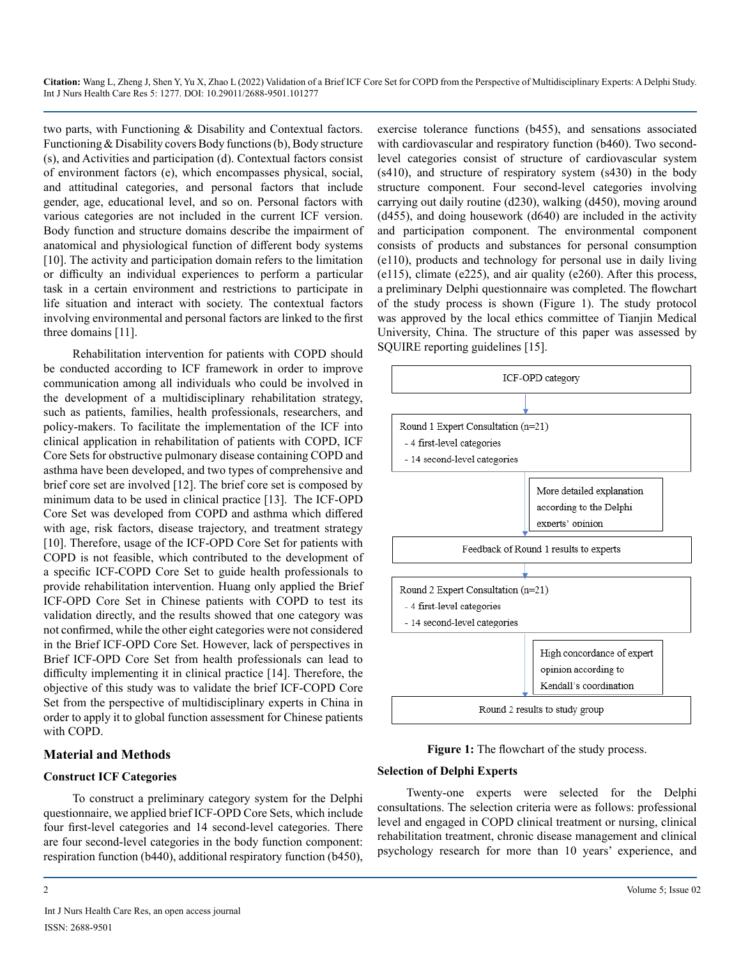two parts, with Functioning & Disability and Contextual factors. Functioning & Disability covers Body functions (b), Body structure (s), and Activities and participation (d). Contextual factors consist of environment factors (e), which encompasses physical, social, and attitudinal categories, and personal factors that include gender, age, educational level, and so on. Personal factors with various categories are not included in the current ICF version. Body function and structure domains describe the impairment of anatomical and physiological function of different body systems [10]. The activity and participation domain refers to the limitation or difficulty an individual experiences to perform a particular task in a certain environment and restrictions to participate in life situation and interact with society. The contextual factors involving environmental and personal factors are linked to the first three domains [11].

Rehabilitation intervention for patients with COPD should be conducted according to ICF framework in order to improve communication among all individuals who could be involved in the development of a multidisciplinary rehabilitation strategy, such as patients, families, health professionals, researchers, and policy-makers. To facilitate the implementation of the ICF into clinical application in rehabilitation of patients with COPD, ICF Core Sets for obstructive pulmonary disease containing COPD and asthma have been developed, and two types of comprehensive and brief core set are involved [12]. The brief core set is composed by minimum data to be used in clinical practice [13]. The ICF-OPD Core Set was developed from COPD and asthma which differed with age, risk factors, disease trajectory, and treatment strategy [10]. Therefore, usage of the ICF-OPD Core Set for patients with COPD is not feasible, which contributed to the development of a specific ICF-COPD Core Set to guide health professionals to provide rehabilitation intervention. Huang only applied the Brief ICF-OPD Core Set in Chinese patients with COPD to test its validation directly, and the results showed that one category was not confirmed, while the other eight categories were not considered in the Brief ICF-OPD Core Set. However, lack of perspectives in Brief ICF-OPD Core Set from health professionals can lead to difficulty implementing it in clinical practice [14]. Therefore, the objective of this study was to validate the brief ICF-COPD Core Set from the perspective of multidisciplinary experts in China in order to apply it to global function assessment for Chinese patients with COPD.

#### **Material and Methods**

#### **Construct ICF Categories**

To construct a preliminary category system for the Delphi questionnaire, we applied brief ICF-OPD Core Sets, which include four first-level categories and 14 second-level categories. There are four second-level categories in the body function component: respiration function (b440), additional respiratory function (b450),

Int J Nurs Health Care Res, an open access journal ISSN: 2688-9501

exercise tolerance functions (b455), and sensations associated with cardiovascular and respiratory function (b460). Two secondlevel categories consist of structure of cardiovascular system (s410), and structure of respiratory system (s430) in the body structure component. Four second-level categories involving carrying out daily routine (d230), walking (d450), moving around (d455), and doing housework (d640) are included in the activity and participation component. The environmental component consists of products and substances for personal consumption (e110), products and technology for personal use in daily living (e115), climate (e225), and air quality (e260). After this process, a preliminary Delphi questionnaire was completed. The flowchart of the study process is shown (Figure 1). The study protocol was approved by the local ethics committee of Tianjin Medical University, China. The structure of this paper was assessed by SQUIRE reporting guidelines [15].



**Figure 1:** The flowchart of the study process.

#### **Selection of Delphi Experts**

Twenty-one experts were selected for the Delphi consultations. The selection criteria were as follows: professional level and engaged in COPD clinical treatment or nursing, clinical rehabilitation treatment, chronic disease management and clinical psychology research for more than 10 years' experience, and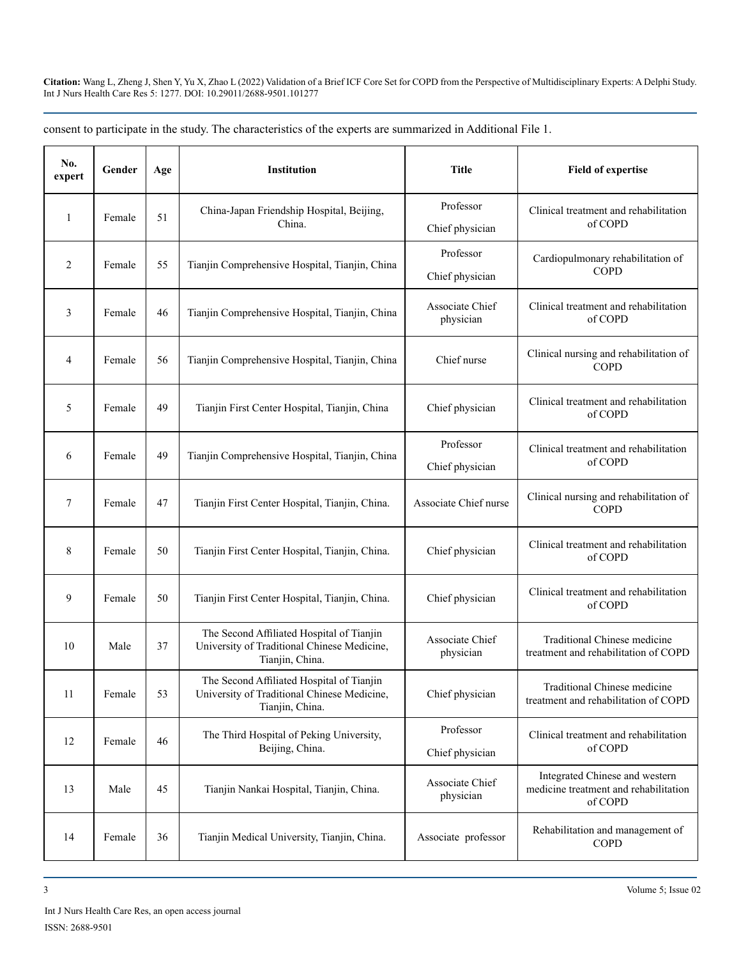| No.<br>expert  | Gender | Age | <b>Institution</b>                                                                                          | <b>Title</b>                 | <b>Field of expertise</b>                                                          |  |
|----------------|--------|-----|-------------------------------------------------------------------------------------------------------------|------------------------------|------------------------------------------------------------------------------------|--|
| 1              | Female | 51  | China-Japan Friendship Hospital, Beijing,<br>China.                                                         | Professor<br>Chief physician | Clinical treatment and rehabilitation<br>of COPD                                   |  |
| 2              | Female | 55  | Tianjin Comprehensive Hospital, Tianjin, China                                                              | Professor<br>Chief physician | Cardiopulmonary rehabilitation of<br>COPD                                          |  |
| 3              | Female | 46  | Tianjin Comprehensive Hospital, Tianjin, China                                                              | Associate Chief<br>physician | Clinical treatment and rehabilitation<br>of COPD                                   |  |
| $\overline{4}$ | Female | 56  | Tianjin Comprehensive Hospital, Tianjin, China                                                              | Chief nurse                  | Clinical nursing and rehabilitation of<br><b>COPD</b>                              |  |
| 5              | Female | 49  | Tianjin First Center Hospital, Tianjin, China                                                               | Chief physician              | Clinical treatment and rehabilitation<br>of COPD                                   |  |
| 6              | Female | 49  | Tianjin Comprehensive Hospital, Tianjin, China                                                              | Professor<br>Chief physician | Clinical treatment and rehabilitation<br>of COPD                                   |  |
| $\tau$         | Female | 47  | Tianjin First Center Hospital, Tianjin, China.                                                              | Associate Chief nurse        | Clinical nursing and rehabilitation of<br><b>COPD</b>                              |  |
| 8              | Female | 50  | Tianjin First Center Hospital, Tianjin, China.                                                              | Chief physician              | Clinical treatment and rehabilitation<br>of COPD                                   |  |
| 9              | Female | 50  | Tianjin First Center Hospital, Tianjin, China.                                                              | Chief physician              | Clinical treatment and rehabilitation<br>of COPD                                   |  |
| 10             | Male   | 37  | The Second Affiliated Hospital of Tianjin<br>University of Traditional Chinese Medicine,<br>Tianjin, China. | Associate Chief<br>physician | Traditional Chinese medicine<br>treatment and rehabilitation of COPD               |  |
| 11             | Female | 53  | The Second Affiliated Hospital of Tianjin<br>University of Traditional Chinese Medicine,<br>Tianjin, China. | Chief physician              |                                                                                    |  |
| 12             | Female | 46  | The Third Hospital of Peking University,<br>Beijing, China.                                                 | Professor<br>Chief physician | Clinical treatment and rehabilitation<br>of COPD                                   |  |
| 13             | Male   | 45  | Tianjin Nankai Hospital, Tianjin, China.                                                                    | Associate Chief<br>physician | Integrated Chinese and western<br>medicine treatment and rehabilitation<br>of COPD |  |
| 14             | Female | 36  | Tianjin Medical University, Tianjin, China.                                                                 | Associate professor          | Rehabilitation and management of<br><b>COPD</b>                                    |  |

consent to participate in the study. The characteristics of the experts are summarized in Additional File 1.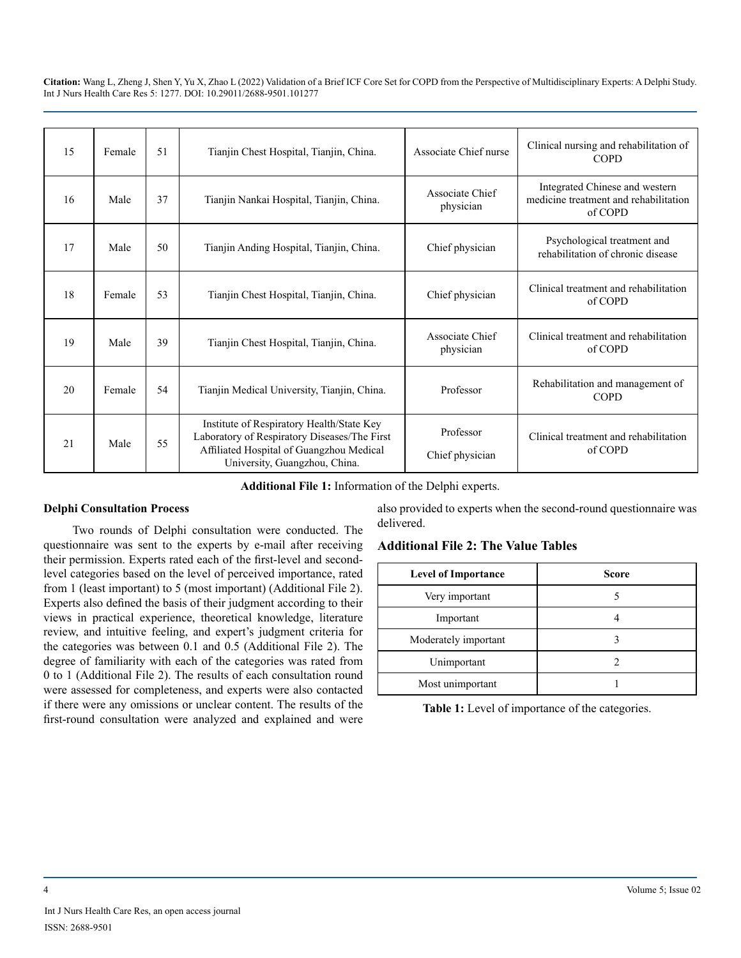| 15 | Female | 51 | Tianjin Chest Hospital, Tianjin, China.                                                                                                                                | Associate Chief nurse        | Clinical nursing and rehabilitation of<br><b>COPD</b>                              |  |
|----|--------|----|------------------------------------------------------------------------------------------------------------------------------------------------------------------------|------------------------------|------------------------------------------------------------------------------------|--|
| 16 | Male   | 37 | Tianjin Nankai Hospital, Tianjin, China.                                                                                                                               | Associate Chief<br>physician | Integrated Chinese and western<br>medicine treatment and rehabilitation<br>of COPD |  |
| 17 | Male   | 50 | Tianjin Anding Hospital, Tianjin, China.                                                                                                                               | Chief physician              | Psychological treatment and<br>rehabilitation of chronic disease                   |  |
| 18 | Female | 53 | Tianjin Chest Hospital, Tianjin, China.                                                                                                                                | Chief physician              | Clinical treatment and rehabilitation<br>of COPD                                   |  |
| 19 | Male   | 39 | Tianjin Chest Hospital, Tianjin, China.                                                                                                                                | Associate Chief<br>physician | Clinical treatment and rehabilitation<br>of COPD                                   |  |
| 20 | Female | 54 | Tianjin Medical University, Tianjin, China.                                                                                                                            | Professor                    | Rehabilitation and management of<br><b>COPD</b>                                    |  |
| 21 | Male   | 55 | Institute of Respiratory Health/State Key<br>Laboratory of Respiratory Diseases/The First<br>Affiliated Hospital of Guangzhou Medical<br>University, Guangzhou, China. | Professor<br>Chief physician | Clinical treatment and rehabilitation<br>of COPD                                   |  |

**Additional File 1:** Information of the Delphi experts.

#### **Delphi Consultation Process**

Two rounds of Delphi consultation were conducted. The questionnaire was sent to the experts by e-mail after receiving their permission. Experts rated each of the first-level and secondlevel categories based on the level of perceived importance, rated from 1 (least important) to 5 (most important) (Additional File 2). Experts also defined the basis of their judgment according to their views in practical experience, theoretical knowledge, literature review, and intuitive feeling, and expert's judgment criteria for the categories was between 0.1 and 0.5 (Additional File 2). The degree of familiarity with each of the categories was rated from 0 to 1 (Additional File 2). The results of each consultation round were assessed for completeness, and experts were also contacted if there were any omissions or unclear content. The results of the first-round consultation were analyzed and explained and were

also provided to experts when the second-round questionnaire was delivered.

# **Additional File 2: The Value Tables**

| <b>Level of Importance</b> | Score |
|----------------------------|-------|
| Very important             |       |
| Important                  |       |
| Moderately important       |       |
| Unimportant                |       |
| Most unimportant           |       |

**Table 1:** Level of importance of the categories.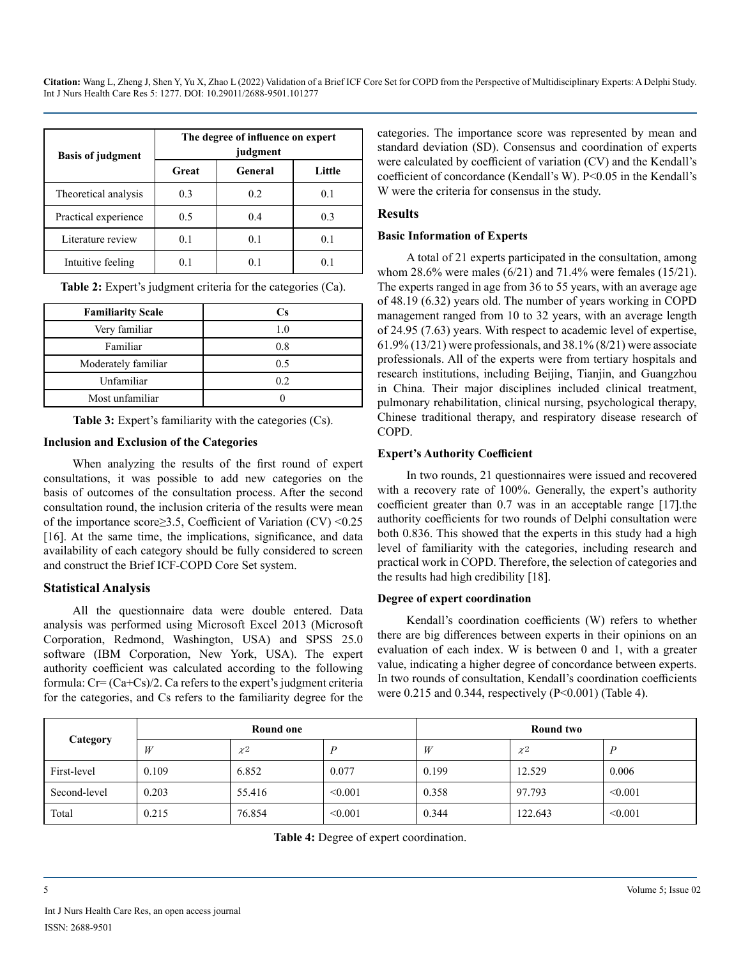| <b>Basis of judgment</b> | The degree of influence on expert<br>judgment |         |        |  |  |
|--------------------------|-----------------------------------------------|---------|--------|--|--|
|                          | Great                                         | General | Little |  |  |
| Theoretical analysis     | 0.3                                           | 0.2     | 0.1    |  |  |
| Practical experience     | 0.5                                           | 0.4     | 0.3    |  |  |
| Literature review        | 0.1                                           | 0.1     | 0.1    |  |  |
| Intuitive feeling        |                                               |         | 0      |  |  |

**Table 2:** Expert's judgment criteria for the categories (Ca).

| <b>Familiarity Scale</b> | Сs  |
|--------------------------|-----|
| Very familiar            | 1.0 |
| Familiar                 | 0.8 |
| Moderately familiar      | 0.5 |
| Unfamiliar               | 0.2 |
| Most unfamiliar          |     |

**Table 3:** Expert's familiarity with the categories (Cs).

#### **Inclusion and Exclusion of the Categories**

When analyzing the results of the first round of expert consultations, it was possible to add new categories on the basis of outcomes of the consultation process. After the second consultation round, the inclusion criteria of the results were mean of the importance score≥3.5, Coefficient of Variation (CV) <0.25 [16]. At the same time, the implications, significance, and data availability of each category should be fully considered to screen and construct the Brief ICF-COPD Core Set system.

#### **Statistical Analysis**

All the questionnaire data were double entered. Data analysis was performed using Microsoft Excel 2013 (Microsoft Corporation, Redmond, Washington, USA) and SPSS 25.0 software (IBM Corporation, New York, USA). The expert authority coefficient was calculated according to the following formula:  $Cr = (Ca + Cs)/2$ . Ca refers to the expert's judgment criteria for the categories, and Cs refers to the familiarity degree for the

categories. The importance score was represented by mean and standard deviation (SD). Consensus and coordination of experts were calculated by coefficient of variation (CV) and the Kendall's coefficient of concordance (Kendall's W). P<0.05 in the Kendall's W were the criteria for consensus in the study.

#### **Results**

#### **Basic Information of Experts**

A total of 21 experts participated in the consultation, among whom 28.6% were males (6/21) and 71.4% were females (15/21). The experts ranged in age from 36 to 55 years, with an average age of 48.19 (6.32) years old. The number of years working in COPD management ranged from 10 to 32 years, with an average length of 24.95 (7.63) years. With respect to academic level of expertise, 61.9% (13/21) were professionals, and 38.1% (8/21) were associate professionals. All of the experts were from tertiary hospitals and research institutions, including Beijing, Tianjin, and Guangzhou in China. Their major disciplines included clinical treatment, pulmonary rehabilitation, clinical nursing, psychological therapy, Chinese traditional therapy, and respiratory disease research of COPD.

#### **Expert's Authority Coefficient**

In two rounds, 21 questionnaires were issued and recovered with a recovery rate of 100%. Generally, the expert's authority coefficient greater than 0.7 was in an acceptable range [17].the authority coefficients for two rounds of Delphi consultation were both 0.836. This showed that the experts in this study had a high level of familiarity with the categories, including research and practical work in COPD. Therefore, the selection of categories and the results had high credibility [18].

#### **Degree of expert coordination**

Kendall's coordination coefficients (W) refers to whether there are big differences between experts in their opinions on an evaluation of each index. W is between 0 and 1, with a greater value, indicating a higher degree of concordance between experts. In two rounds of consultation, Kendall's coordination coefficients were  $0.215$  and  $0.344$ , respectively (P<0.001) (Table 4).

| Category     | <b>Round one</b> |          |         | <b>Round two</b> |          |         |
|--------------|------------------|----------|---------|------------------|----------|---------|
|              | W                | $\chi^2$ |         | W                | $\chi^2$ | D       |
| First-level  | 0.109            | 6.852    | 0.077   | 0.199            | 12.529   | 0.006   |
| Second-level | 0.203            | 55.416   | < 0.001 | 0.358            | 97.793   | < 0.001 |
| Total        | 0.215            | 76.854   | < 0.001 | 0.344            | 122.643  | < 0.001 |

**Table 4:** Degree of expert coordination.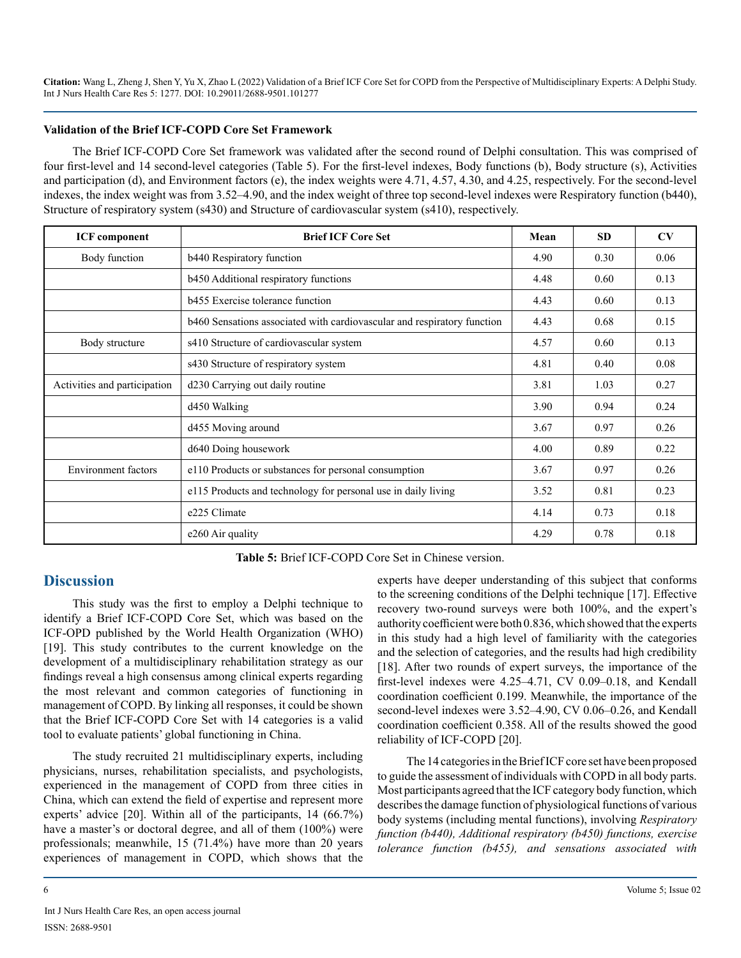#### **Validation of the Brief ICF-COPD Core Set Framework**

The Brief ICF-COPD Core Set framework was validated after the second round of Delphi consultation. This was comprised of four first-level and 14 second-level categories (Table 5). For the first-level indexes, Body functions (b), Body structure (s), Activities and participation (d), and Environment factors (e), the index weights were 4.71, 4.57, 4.30, and 4.25, respectively. For the second-level indexes, the index weight was from 3.52–4.90, and the index weight of three top second-level indexes were Respiratory function (b440), Structure of respiratory system (s430) and Structure of cardiovascular system (s410), respectively.

| <b>ICF</b> component         | <b>Brief ICF Core Set</b>                                               | Mean | <b>SD</b> | CV   |
|------------------------------|-------------------------------------------------------------------------|------|-----------|------|
| Body function                | b440 Respiratory function                                               | 4.90 | 0.30      | 0.06 |
|                              | b450 Additional respiratory functions                                   | 4.48 | 0.60      | 0.13 |
|                              | <b>b</b> 455 Exercise tolerance function                                | 4.43 | 0.60      | 0.13 |
|                              | b460 Sensations associated with cardiovascular and respiratory function | 4.43 | 0.68      | 0.15 |
| Body structure               | s410 Structure of cardiovascular system                                 | 4.57 | 0.60      | 0.13 |
|                              | s430 Structure of respiratory system                                    | 4.81 | 0.40      | 0.08 |
| Activities and participation | d230 Carrying out daily routine                                         |      | 1.03      | 0.27 |
|                              | d450 Walking                                                            | 3.90 | 0.94      | 0.24 |
|                              | d455 Moving around                                                      | 3.67 | 0.97      | 0.26 |
|                              | d640 Doing housework                                                    | 4.00 | 0.89      | 0.22 |
| <b>Environment</b> factors   | e110 Products or substances for personal consumption                    | 3.67 | 0.97      | 0.26 |
|                              | e115 Products and technology for personal use in daily living           | 3.52 | 0.81      | 0.23 |
|                              | e225 Climate                                                            | 4.14 | 0.73      | 0.18 |
|                              | e260 Air quality                                                        | 4.29 | 0.78      | 0.18 |

**Table 5:** Brief ICF-COPD Core Set in Chinese version.

# **Discussion**

This study was the first to employ a Delphi technique to identify a Brief ICF-COPD Core Set, which was based on the ICF-OPD published by the World Health Organization (WHO) [19]. This study contributes to the current knowledge on the development of a multidisciplinary rehabilitation strategy as our findings reveal a high consensus among clinical experts regarding the most relevant and common categories of functioning in management of COPD. By linking all responses, it could be shown that the Brief ICF-COPD Core Set with 14 categories is a valid tool to evaluate patients' global functioning in China.

The study recruited 21 multidisciplinary experts, including physicians, nurses, rehabilitation specialists, and psychologists, experienced in the management of COPD from three cities in China, which can extend the field of expertise and represent more experts' advice [20]. Within all of the participants, 14 (66.7%) have a master's or doctoral degree, and all of them (100%) were professionals; meanwhile, 15 (71.4%) have more than 20 years experiences of management in COPD, which shows that the experts have deeper understanding of this subject that conforms to the screening conditions of the Delphi technique [17]. Effective recovery two-round surveys were both 100%, and the expert's authority coefficient were both 0.836, which showed that the experts in this study had a high level of familiarity with the categories and the selection of categories, and the results had high credibility [18]. After two rounds of expert surveys, the importance of the first-level indexes were 4.25–4.71, CV 0.09–0.18, and Kendall coordination coefficient 0.199. Meanwhile, the importance of the second-level indexes were 3.52–4.90, CV 0.06–0.26, and Kendall coordination coefficient 0.358. All of the results showed the good reliability of ICF-COPD [20].

The 14 categories in the Brief ICF core set have been proposed to guide the assessment of individuals with COPD in all body parts. Most participants agreed that the ICF category body function, which describes the damage function of physiological functions of various body systems (including mental functions), involving *Respiratory function (b440), Additional respiratory (b450) functions, exercise tolerance function (b455), and sensations associated with*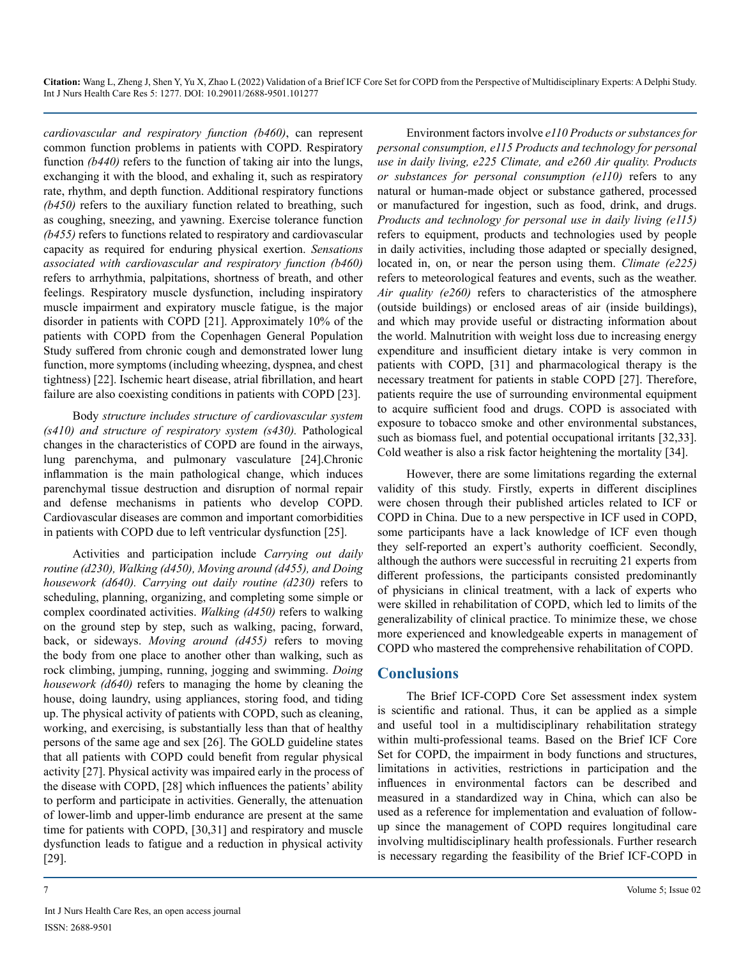*cardiovascular and respiratory function (b460)*, can represent common function problems in patients with COPD. Respiratory function *(b440)* refers to the function of taking air into the lungs, exchanging it with the blood, and exhaling it, such as respiratory rate, rhythm, and depth function. Additional respiratory functions *(b450)* refers to the auxiliary function related to breathing, such as coughing, sneezing, and yawning. Exercise tolerance function *(b455)* refers to functions related to respiratory and cardiovascular capacity as required for enduring physical exertion. *Sensations associated with cardiovascular and respiratory function (b460)* refers to arrhythmia, palpitations, shortness of breath, and other feelings. Respiratory muscle dysfunction, including inspiratory muscle impairment and expiratory muscle fatigue, is the major disorder in patients with COPD [21]. Approximately 10% of the patients with COPD from the Copenhagen General Population Study suffered from chronic cough and demonstrated lower lung function, more symptoms (including wheezing, dyspnea, and chest tightness) [22]. Ischemic heart disease, atrial fibrillation, and heart failure are also coexisting conditions in patients with COPD [23].

Body *structure includes structure of cardiovascular system (s410) and structure of respiratory system (s430).* Pathological changes in the characteristics of COPD are found in the airways, lung parenchyma, and pulmonary vasculature [24].Chronic inflammation is the main pathological change, which induces parenchymal tissue destruction and disruption of normal repair and defense mechanisms in patients who develop COPD. Cardiovascular diseases are common and important comorbidities in patients with COPD due to left ventricular dysfunction [25].

Activities and participation include *Carrying out daily routine (d230), Walking (d450), Moving around (d455), and Doing housework (d640). Carrying out daily routine (d230)* refers to scheduling, planning, organizing, and completing some simple or complex coordinated activities. *Walking (d450)* refers to walking on the ground step by step, such as walking, pacing, forward, back, or sideways. *Moving around (d455)* refers to moving the body from one place to another other than walking, such as rock climbing, jumping, running, jogging and swimming. *Doing housework (d640)* refers to managing the home by cleaning the house, doing laundry, using appliances, storing food, and tiding up. The physical activity of patients with COPD, such as cleaning, working, and exercising, is substantially less than that of healthy persons of the same age and sex [26]. The GOLD guideline states that all patients with COPD could benefit from regular physical activity [27]. Physical activity was impaired early in the process of the disease with COPD, [28] which influences the patients' ability to perform and participate in activities. Generally, the attenuation of lower-limb and upper-limb endurance are present at the same time for patients with COPD, [30,31] and respiratory and muscle dysfunction leads to fatigue and a reduction in physical activity [29].

Environment factors involve *e110 Products or substances for personal consumption, e115 Products and technology for personal use in daily living, e225 Climate, and e260 Air quality. Products or substances for personal consumption (e110)* refers to any natural or human-made object or substance gathered, processed or manufactured for ingestion, such as food, drink, and drugs. *Products and technology for personal use in daily living (e115)* refers to equipment, products and technologies used by people in daily activities, including those adapted or specially designed, located in, on, or near the person using them. *Climate (e225)* refers to meteorological features and events, such as the weather. *Air quality (e260)* refers to characteristics of the atmosphere (outside buildings) or enclosed areas of air (inside buildings), and which may provide useful or distracting information about the world. Malnutrition with weight loss due to increasing energy expenditure and insufficient dietary intake is very common in patients with COPD, [31] and pharmacological therapy is the necessary treatment for patients in stable COPD [27]. Therefore, patients require the use of surrounding environmental equipment to acquire sufficient food and drugs. COPD is associated with exposure to tobacco smoke and other environmental substances, such as biomass fuel, and potential occupational irritants [32,33]. Cold weather is also a risk factor heightening the mortality [34].

However, there are some limitations regarding the external validity of this study. Firstly, experts in different disciplines were chosen through their published articles related to ICF or COPD in China. Due to a new perspective in ICF used in COPD, some participants have a lack knowledge of ICF even though they self-reported an expert's authority coefficient. Secondly, although the authors were successful in recruiting 21 experts from different professions, the participants consisted predominantly of physicians in clinical treatment, with a lack of experts who were skilled in rehabilitation of COPD, which led to limits of the generalizability of clinical practice. To minimize these, we chose more experienced and knowledgeable experts in management of COPD who mastered the comprehensive rehabilitation of COPD.

# **Conclusions**

The Brief ICF-COPD Core Set assessment index system is scientific and rational. Thus, it can be applied as a simple and useful tool in a multidisciplinary rehabilitation strategy within multi-professional teams. Based on the Brief ICF Core Set for COPD, the impairment in body functions and structures, limitations in activities, restrictions in participation and the influences in environmental factors can be described and measured in a standardized way in China, which can also be used as a reference for implementation and evaluation of followup since the management of COPD requires longitudinal care involving multidisciplinary health professionals. Further research is necessary regarding the feasibility of the Brief ICF-COPD in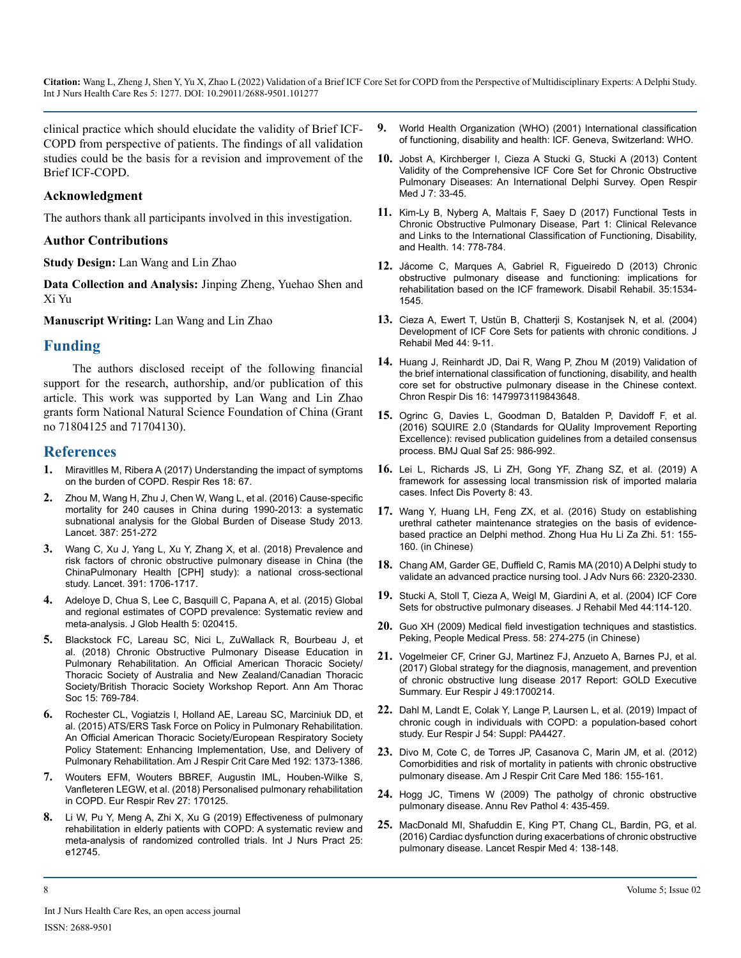clinical practice which should elucidate the validity of Brief ICF-COPD from perspective of patients. The findings of all validation studies could be the basis for a revision and improvement of the Brief ICF-COPD.

#### **Acknowledgment**

The authors thank all participants involved in this investigation.

#### **Author Contributions**

**Study Design:** Lan Wang and Lin Zhao

**Data Collection and Analysis:** Jinping Zheng, Yuehao Shen and Xi Yu

**Manuscript Writing:** Lan Wang and Lin Zhao

#### **Funding**

The authors disclosed receipt of the following financial support for the research, authorship, and/or publication of this article. This work was supported by Lan Wang and Lin Zhao grants form National Natural Science Foundation of China (Grant no 71804125 and 71704130).

#### **References**

- **1.** [Miravitlles M, Ribera A \(2017\) Understanding the impact of symptoms](https://pubmed.ncbi.nlm.nih.gov/28431503/) [on the burden of COPD. Respir Res 18: 67.](https://pubmed.ncbi.nlm.nih.gov/28431503/)
- **2.** [Zhou M, Wang H, Zhu J, Chen W, Wang L, et al. \(2016\) Cause-specific](https://pubmed.ncbi.nlm.nih.gov/26510778/)  [mortality for 240 causes in China during 1990-2013: a systematic](https://pubmed.ncbi.nlm.nih.gov/26510778/)  [subnational analysis for the Global Burden of Disease Study 2013.](https://pubmed.ncbi.nlm.nih.gov/26510778/)  [Lancet. 387: 251-272](https://pubmed.ncbi.nlm.nih.gov/26510778/)
- **3.** [Wang C, Xu J, Yang L, Xu Y, Zhang X, et al. \(2018\) Prevalence and](https://pubmed.ncbi.nlm.nih.gov/29650248/)  [risk factors of chronic obstructive pulmonary disease in China \(the](https://pubmed.ncbi.nlm.nih.gov/29650248/) [ChinaPulmonary Health \[CPH\] study\): a national cross-sectional](https://pubmed.ncbi.nlm.nih.gov/29650248/)  [study. Lancet. 391: 1706-1717.](https://pubmed.ncbi.nlm.nih.gov/29650248/)
- **4.** [Adeloye D, Chua S, Lee C, Basquill C, Papana A, et al. \(2015\) Global](https://pubmed.ncbi.nlm.nih.gov/26755942/)  [and regional estimates of COPD prevalence: Systematic review and](https://pubmed.ncbi.nlm.nih.gov/26755942/)  [meta-analysis. J Glob Health 5: 020415.](https://pubmed.ncbi.nlm.nih.gov/26755942/)
- **5.** [Blackstock FC, Lareau SC, Nici L, ZuWallack R, Bourbeau J, et](https://pubmed.ncbi.nlm.nih.gov/29957038/)  [al. \(2018\) Chronic Obstructive Pulmonary Disease Education in](https://pubmed.ncbi.nlm.nih.gov/29957038/)  [Pulmonary Rehabilitation. An Official American Thoracic Society/](https://pubmed.ncbi.nlm.nih.gov/29957038/) [Thoracic Society of Australia and New Zealand/Canadian Thoracic](https://pubmed.ncbi.nlm.nih.gov/29957038/)  [Society/British Thoracic Society Workshop Report. Ann Am Thorac](https://pubmed.ncbi.nlm.nih.gov/29957038/)  [Soc 15: 769-784.](https://pubmed.ncbi.nlm.nih.gov/29957038/)
- **6.** [Rochester CL, Vogiatzis I, Holland AE, Lareau SC, Marciniuk DD, et](https://www.atsjournals.org/doi/pdf/10.1164/rccm.201510-1966ST) [al. \(2015\) ATS/ERS Task Force on Policy in Pulmonary Rehabilitation.](https://www.atsjournals.org/doi/pdf/10.1164/rccm.201510-1966ST)  [An Official American Thoracic Society/European Respiratory Society](https://www.atsjournals.org/doi/pdf/10.1164/rccm.201510-1966ST)  [Policy Statement: Enhancing Implementation, Use, and Delivery of](https://www.atsjournals.org/doi/pdf/10.1164/rccm.201510-1966ST)  [Pulmonary Rehabilitation. Am J Respir Crit Care Med 192: 1373-1386.](https://www.atsjournals.org/doi/pdf/10.1164/rccm.201510-1966ST)
- **7.** [Wouters EFM, Wouters BBREF, Augustin IML, Houben-Wilke S,](https://err.ersjournals.com/content/27/147/170125)  [Vanfleteren LEGW, et al. \(2018\) Personalised pulmonary rehabilitation](https://err.ersjournals.com/content/27/147/170125)  [in COPD. Eur Respir Rev 27: 170125.](https://err.ersjournals.com/content/27/147/170125)
- **8.** [Li W, Pu Y, Meng A, Zhi X, Xu G \(2019\) Effectiveness of pulmonary](https://pubmed.ncbi.nlm.nih.gov/31268214/)  [rehabilitation in elderly patients with COPD: A systematic review and](https://pubmed.ncbi.nlm.nih.gov/31268214/)  [meta-analysis of randomized controlled trials. Int J Nurs Pract 25:](https://pubmed.ncbi.nlm.nih.gov/31268214/)  [e12745.](https://pubmed.ncbi.nlm.nih.gov/31268214/)
- **9.** [World Health Organization \(WHO\) \(2001\) International classification](http://apps.who.int/iris/bitstream/handle/10665/42407/9241545429.pdf;jsessionid=FD4585E302F94BAFF26B5083106C7C70?sequence=1)  [of functioning, disability and health: ICF. Geneva, Switzerland: WHO.](http://apps.who.int/iris/bitstream/handle/10665/42407/9241545429.pdf;jsessionid=FD4585E302F94BAFF26B5083106C7C70?sequence=1)
- **10.** [Jobst A, Kirchberger I, Cieza A Stucki G, Stucki A \(2013\) Content](https://pubmed.ncbi.nlm.nih.gov/23730367/) [Validity of the Comprehensive ICF Core Set for Chronic Obstructive](https://pubmed.ncbi.nlm.nih.gov/23730367/)  [Pulmonary Diseases: An International Delphi Survey. Open Respir](https://pubmed.ncbi.nlm.nih.gov/23730367/)  [Med J 7: 33-45.](https://pubmed.ncbi.nlm.nih.gov/23730367/)
- **11.** [Kim-Ly B, Nyberg A, Maltais F, Saey D \(2017\) Functional Tests in](https://pubmed.ncbi.nlm.nih.gov/28244799/)  [Chronic Obstructive Pulmonary Disease, Part 1: Clinical Relevance](https://pubmed.ncbi.nlm.nih.gov/28244799/)  [and Links to the International Classification of Functioning, Disability,](https://pubmed.ncbi.nlm.nih.gov/28244799/) [and Health. 14: 778-784.](https://pubmed.ncbi.nlm.nih.gov/28244799/)
- **12.** [Jácome C, Marques A, Gabriel R, Figueiredo D \(2013\) Chronic](https://pubmed.ncbi.nlm.nih.gov/23294436/)  [obstructive pulmonary disease and functioning: implications for](https://pubmed.ncbi.nlm.nih.gov/23294436/)  [rehabilitation based on the ICF framework. Disabil Rehabil. 35:1534-](https://pubmed.ncbi.nlm.nih.gov/23294436/) [1545.](https://pubmed.ncbi.nlm.nih.gov/23294436/)
- **13.** [Cieza A, Ewert T, Ustün B, Chatterji S, Kostanjsek N, et al. \(2004\)](https://pubmed.ncbi.nlm.nih.gov/15370742/)  [Development of ICF Core Sets for patients with chronic conditions. J](https://pubmed.ncbi.nlm.nih.gov/15370742/)  [Rehabil Med 44: 9-11.](https://pubmed.ncbi.nlm.nih.gov/15370742/)
- **14.** [Huang J, Reinhardt JD, Dai R, Wang P, Zhou M \(2019\) Validation of](https://www.ncbi.nlm.nih.gov/pmc/articles/PMC6537496/)  [the brief international classification of functioning, disability, and health](https://www.ncbi.nlm.nih.gov/pmc/articles/PMC6537496/)  [core set for obstructive pulmonary disease in the Chinese context.](https://www.ncbi.nlm.nih.gov/pmc/articles/PMC6537496/)  [Chron Respir Dis 16: 1479973119843648.](https://www.ncbi.nlm.nih.gov/pmc/articles/PMC6537496/)
- **15.** [Ogrinc G, Davies L, Goodman D, Batalden P, Davidoff F, et al.](https://pubmed.ncbi.nlm.nih.gov/26369893/)  [\(2016\) SQUIRE 2.0 \(Standards for QUality Improvement Reporting](https://pubmed.ncbi.nlm.nih.gov/26369893/)  [Excellence\): revised publication guidelines from a detailed consensus](https://pubmed.ncbi.nlm.nih.gov/26369893/)  [process. BMJ Qual Saf 25: 986-992.](https://pubmed.ncbi.nlm.nih.gov/26369893/)
- **16.** [Lei L, Richards JS, Li ZH, Gong YF, Zhang SZ, et al. \(2019\) A](https://idpjournal.biomedcentral.com/track/pdf/10.1186/s40249-019-0552-6.pdf) [framework for assessing local transmission risk of imported malaria](https://idpjournal.biomedcentral.com/track/pdf/10.1186/s40249-019-0552-6.pdf)  [cases. Infect Dis Poverty 8: 43.](https://idpjournal.biomedcentral.com/track/pdf/10.1186/s40249-019-0552-6.pdf)
- **17.** Wang Y, Huang LH, Feng ZX, et al. (2016) Study on establishing urethral catheter maintenance strategies on the basis of evidencebased practice an Delphi method. Zhong Hua Hu Li Za Zhi. 51: 155- 160. (in Chinese)
- **18.** [Chang AM, Garder GE, Duffield C, Ramis MA \(2010\) A Delphi study to](https://pubmed.ncbi.nlm.nih.gov/20626481/)  [validate an advanced practice nursing tool. J Adv Nurs 66: 2320-2330.](https://pubmed.ncbi.nlm.nih.gov/20626481/)
- **19.** [Stucki A, Stoll T, Cieza A, Weigl M, Giardini A, et al. \(2004\) ICF Core](https://pubmed.ncbi.nlm.nih.gov/15370758/)  [Sets for obstructive pulmonary diseases. J Rehabil Med 44:114-120.](https://pubmed.ncbi.nlm.nih.gov/15370758/)
- **20.** Guo XH (2009) Medical field investigation techniques and stastistics. Peking, People Medical Press. 58: 274-275 (in Chinese)
- **21.** [Vogelmeier CF, Criner GJ, Martinez FJ, Anzueto A, Barnes PJ, et al.](https://pubmed.ncbi.nlm.nih.gov/28182564/)  [\(2017\) Global strategy for the diagnosis, management, and prevention](https://pubmed.ncbi.nlm.nih.gov/28182564/)  [of chronic obstructive lung disease 2017 Report: GOLD Executive](https://pubmed.ncbi.nlm.nih.gov/28182564/)  [Summary. Eur Respir J 49:1700214.](https://pubmed.ncbi.nlm.nih.gov/28182564/)
- **22.** [Dahl M, Landt E, Colak Y, Lange P, Laursen L, et al. \(2019\) Impact of](https://erj.ersjournals.com/content/54/suppl_63/PA4427) [chronic cough in individuals with COPD: a population-based cohort](https://erj.ersjournals.com/content/54/suppl_63/PA4427)  [study. Eur Respir J 54: Suppl: PA4427.](https://erj.ersjournals.com/content/54/suppl_63/PA4427)
- **23.** [Divo M, Cote C, de Torres JP, Casanova C, Marin JM, et al. \(2012\)](https://pubmed.ncbi.nlm.nih.gov/22561964/)  [Comorbidities and risk of mortality in patients with chronic obstructive](https://pubmed.ncbi.nlm.nih.gov/22561964/)  [pulmonary disease. Am J Respir Crit Care Med 186: 155-161.](https://pubmed.ncbi.nlm.nih.gov/22561964/)
- **24.** [Hogg JC, Timens W \(2009\) The patholgy of chronic obstructive](https://pubmed.ncbi.nlm.nih.gov/18954287/)  [pulmonary disease. Annu Rev Pathol 4: 435-459.](https://pubmed.ncbi.nlm.nih.gov/18954287/)
- **25.** [MacDonald MI, Shafuddin E, King PT, Chang CL, Bardin, PG, et al.](https://pubmed.ncbi.nlm.nih.gov/26781000/)  [\(2016\) Cardiac dysfunction during exacerbations of chronic obstructive](https://pubmed.ncbi.nlm.nih.gov/26781000/)  [pulmonary disease. Lancet Respir Med 4: 138-148.](https://pubmed.ncbi.nlm.nih.gov/26781000/)